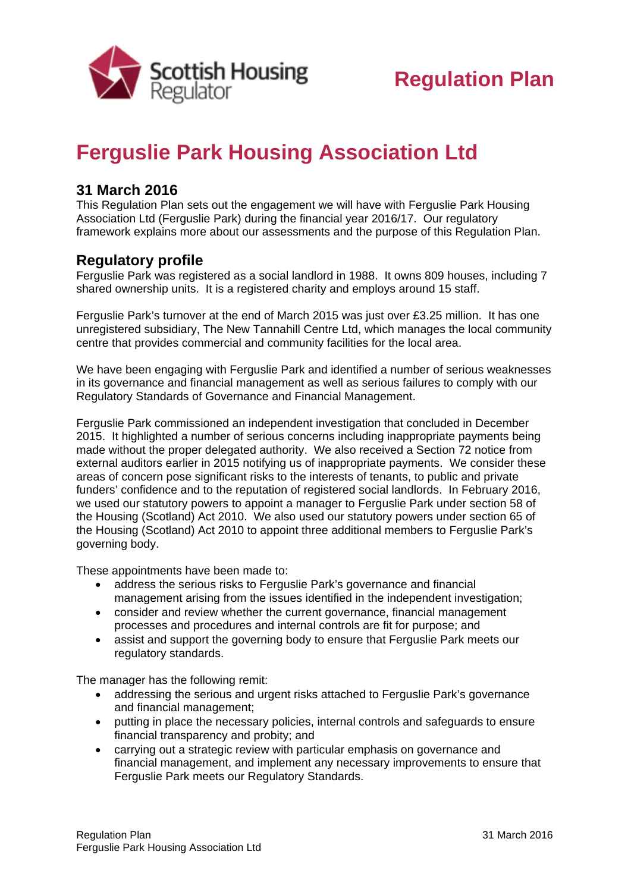

## **Ferguslie Park Housing Association Ltd**

## **31 March 2016**

This Regulation Plan sets out the engagement we will have with Ferguslie Park Housing Association Ltd (Ferguslie Park) during the financial year 2016/17. Our regulatory framework explains more about our assessments and the purpose of this Regulation Plan.

## **Regulatory profile**

Ferguslie Park was registered as a social landlord in 1988. It owns 809 houses, including 7 shared ownership units. It is a registered charity and employs around 15 staff.

Ferguslie Park's turnover at the end of March 2015 was just over £3.25 million. It has one unregistered subsidiary, The New Tannahill Centre Ltd, which manages the local community centre that provides commercial and community facilities for the local area.

We have been engaging with Ferguslie Park and identified a number of serious weaknesses in its governance and financial management as well as serious failures to comply with our Regulatory Standards of Governance and Financial Management.

Ferguslie Park commissioned an independent investigation that concluded in December 2015. It highlighted a number of serious concerns including inappropriate payments being made without the proper delegated authority. We also received a Section 72 notice from external auditors earlier in 2015 notifying us of inappropriate payments. We consider these areas of concern pose significant risks to the interests of tenants, to public and private funders' confidence and to the reputation of registered social landlords. In February 2016, we used our statutory powers to appoint a manager to Ferguslie Park under section 58 of the Housing (Scotland) Act 2010. We also used our statutory powers under section 65 of the Housing (Scotland) Act 2010 to appoint three additional members to Ferguslie Park's governing body.

These appointments have been made to:

- address the serious risks to Ferguslie Park's governance and financial management arising from the issues identified in the independent investigation;
- consider and review whether the current governance, financial management processes and procedures and internal controls are fit for purpose; and
- assist and support the governing body to ensure that Ferguslie Park meets our regulatory standards.

The manager has the following remit:

- addressing the serious and urgent risks attached to Ferguslie Park's governance and financial management;
- putting in place the necessary policies, internal controls and safeguards to ensure financial transparency and probity; and
- carrying out a strategic review with particular emphasis on governance and financial management, and implement any necessary improvements to ensure that Ferguslie Park meets our Regulatory Standards.